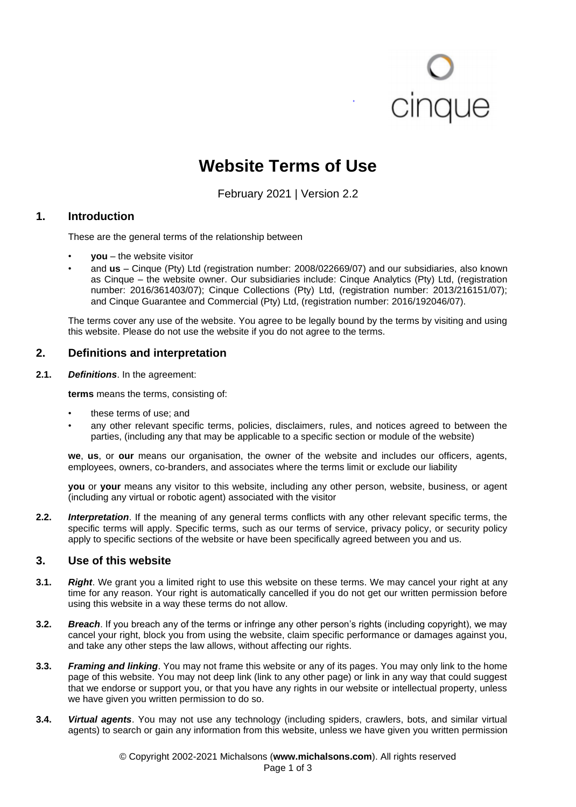# cinque

# **Website Terms of Use**

February 2021 | Version 2.2

# **1. Introduction**

These are the general terms of the relationship between

- **you** the website visitor
- and **us** Cinque (Pty) Ltd (registration number: 2008/022669/07) and our subsidiaries, also known as Cinque – the website owner. Our subsidiaries include: Cinque Analytics (Pty) Ltd, (registration number: 2016/361403/07); Cinque Collections (Pty) Ltd, (registration number: 2013/216151/07); and Cinque Guarantee and Commercial (Pty) Ltd, (registration number: 2016/192046/07).

The terms cover any use of the website. You agree to be legally bound by the terms by visiting and using this website. Please do not use the website if you do not agree to the terms.

# **2. Definitions and interpretation**

**2.1.** *Definitions*. In the agreement:

**terms** means the terms, consisting of:

- these terms of use; and
- any other relevant specific terms, policies, disclaimers, rules, and notices agreed to between the parties, (including any that may be applicable to a specific section or module of the website)

**we**, **us**, or **our** means our organisation, the owner of the website and includes our officers, agents, employees, owners, co-branders, and associates where the terms limit or exclude our liability

**you** or **your** means any visitor to this website, including any other person, website, business, or agent (including any virtual or robotic agent) associated with the visitor

**2.2.** *Interpretation*. If the meaning of any general terms conflicts with any other relevant specific terms, the specific terms will apply. Specific terms, such as our terms of service, privacy policy, or security policy apply to specific sections of the website or have been specifically agreed between you and us.

# **3. Use of this website**

- **3.1.** *Right*. We grant you a limited right to use this website on these terms. We may cancel your right at any time for any reason. Your right is automatically cancelled if you do not get our written permission before using this website in a way these terms do not allow.
- **3.2.** *Breach*. If you breach any of the terms or infringe any other person's rights (including copyright), we may cancel your right, block you from using the website, claim specific performance or damages against you, and take any other steps the law allows, without affecting our rights.
- **3.3.** *Framing and linking*. You may not frame this website or any of its pages. You may only link to the home page of this website. You may not deep link (link to any other page) or link in any way that could suggest that we endorse or support you, or that you have any rights in our website or intellectual property, unless we have given you written permission to do so.
- **3.4.** *Virtual agents*. You may not use any technology (including spiders, crawlers, bots, and similar virtual agents) to search or gain any information from this website, unless we have given you written permission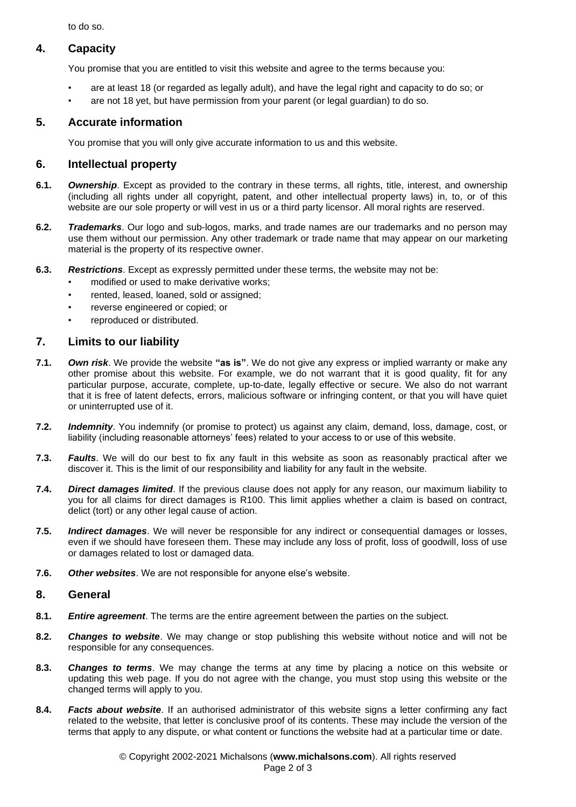to do so.

# **4. Capacity**

You promise that you are entitled to visit this website and agree to the terms because you:

- are at least 18 (or regarded as legally adult), and have the legal right and capacity to do so; or
- are not 18 yet, but have permission from your parent (or legal guardian) to do so.

# **5. Accurate information**

You promise that you will only give accurate information to us and this website.

# **6. Intellectual property**

- **6.1.** *Ownership*. Except as provided to the contrary in these terms, all rights, title, interest, and ownership (including all rights under all copyright, patent, and other intellectual property laws) in, to, or of this website are our sole property or will vest in us or a third party licensor. All moral rights are reserved.
- **6.2.** *Trademarks*. Our logo and sub-logos, marks, and trade names are our trademarks and no person may use them without our permission. Any other trademark or trade name that may appear on our marketing material is the property of its respective owner.
- **6.3.** *Restrictions*. Except as expressly permitted under these terms, the website may not be:
	- modified or used to make derivative works:
	- rented, leased, loaned, sold or assigned;
	- reverse engineered or copied; or
	- reproduced or distributed.

# **7. Limits to our liability**

- **7.1.** *Own risk*. We provide the website **"as is"**. We do not give any express or implied warranty or make any other promise about this website. For example, we do not warrant that it is good quality, fit for any particular purpose, accurate, complete, up-to-date, legally effective or secure. We also do not warrant that it is free of latent defects, errors, malicious software or infringing content, or that you will have quiet or uninterrupted use of it.
- **7.2.** *Indemnity*. You indemnify (or promise to protect) us against any claim, demand, loss, damage, cost, or liability (including reasonable attorneys' fees) related to your access to or use of this website.
- **7.3.** *Faults*. We will do our best to fix any fault in this website as soon as reasonably practical after we discover it. This is the limit of our responsibility and liability for any fault in the website.
- **7.4.** *Direct damages limited*. If the previous clause does not apply for any reason, our maximum liability to you for all claims for direct damages is R100. This limit applies whether a claim is based on contract, delict (tort) or any other legal cause of action.
- **7.5.** *Indirect damages*. We will never be responsible for any indirect or consequential damages or losses, even if we should have foreseen them. These may include any loss of profit, loss of goodwill, loss of use or damages related to lost or damaged data.
- **7.6.** *Other websites*. We are not responsible for anyone else's website.

#### **8. General**

- **8.1.** *Entire agreement*. The terms are the entire agreement between the parties on the subject.
- **8.2.** *Changes to website*. We may change or stop publishing this website without notice and will not be responsible for any consequences.
- **8.3.** *Changes to terms*. We may change the terms at any time by placing a notice on this website or updating this web page. If you do not agree with the change, you must stop using this website or the changed terms will apply to you.
- **8.4.** *Facts about website*. If an authorised administrator of this website signs a letter confirming any fact related to the website, that letter is conclusive proof of its contents. These may include the version of the terms that apply to any dispute, or what content or functions the website had at a particular time or date.